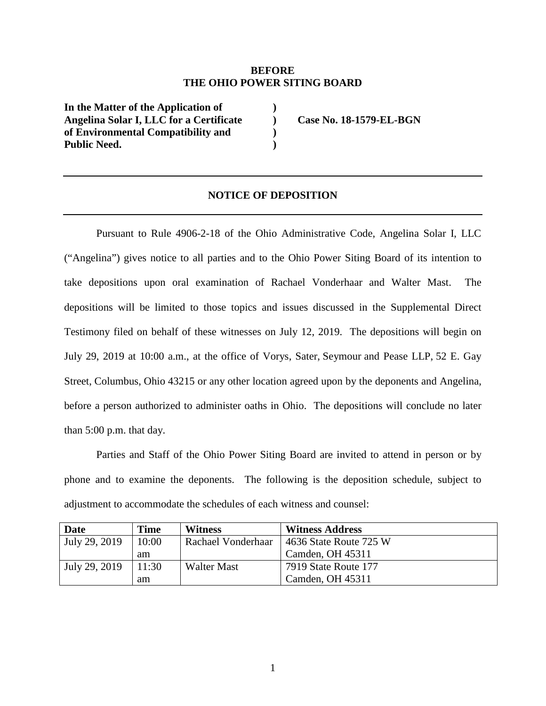## **BEFORE THE OHIO POWER SITING BOARD**

**) ) ) )** 

**In the Matter of the Application of Angelina Solar I, LLC for a Certificate of Environmental Compatibility and Public Need.** 

**Case No. 18-1579-EL-BGN** 

## **NOTICE OF DEPOSITION**

Pursuant to Rule 4906-2-18 of the Ohio Administrative Code, Angelina Solar I, LLC ("Angelina") gives notice to all parties and to the Ohio Power Siting Board of its intention to take depositions upon oral examination of Rachael Vonderhaar and Walter Mast. The depositions will be limited to those topics and issues discussed in the Supplemental Direct Testimony filed on behalf of these witnesses on July 12, 2019. The depositions will begin on July 29, 2019 at 10:00 a.m., at the office of Vorys, Sater, Seymour and Pease LLP, 52 E. Gay Street, Columbus, Ohio 43215 or any other location agreed upon by the deponents and Angelina, before a person authorized to administer oaths in Ohio. The depositions will conclude no later than 5:00 p.m. that day.

Parties and Staff of the Ohio Power Siting Board are invited to attend in person or by phone and to examine the deponents. The following is the deposition schedule, subject to adjustment to accommodate the schedules of each witness and counsel:

| <b>Date</b>   | Time  | <b>Witness</b>     | <b>Witness Address</b> |
|---------------|-------|--------------------|------------------------|
| July 29, 2019 | 10:00 | Rachael Vonderhaar | 4636 State Route 725 W |
|               | am    |                    | Camden, OH 45311       |
| July 29, 2019 | 11:30 | Walter Mast        | 7919 State Route 177   |
|               | am    |                    | Camden, OH 45311       |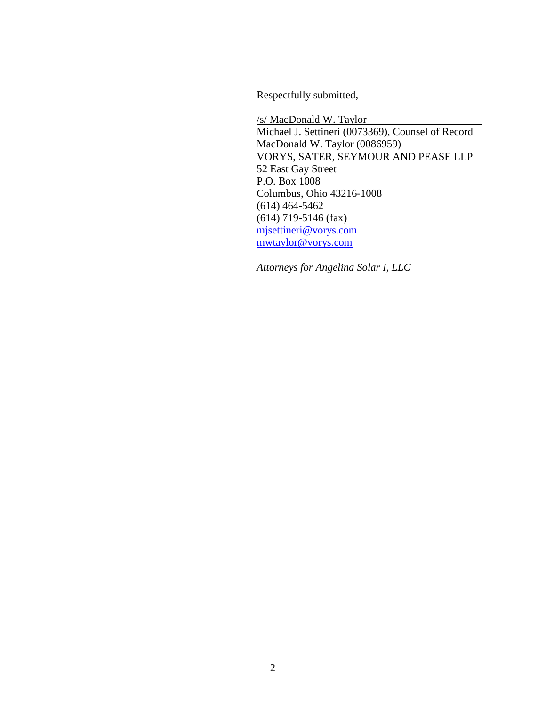Respectfully submitted,

/s/ MacDonald W. Taylor Michael J. Settineri (0073369), Counsel of Record MacDonald W. Taylor (0086959) VORYS, SATER, SEYMOUR AND PEASE LLP 52 East Gay Street P.O. Box 1008 Columbus, Ohio 43216-1008 (614) 464-5462 (614) 719-5146 (fax) mjsettineri@vorys.com mwtaylor@vorys.com

*Attorneys for Angelina Solar I, LLC*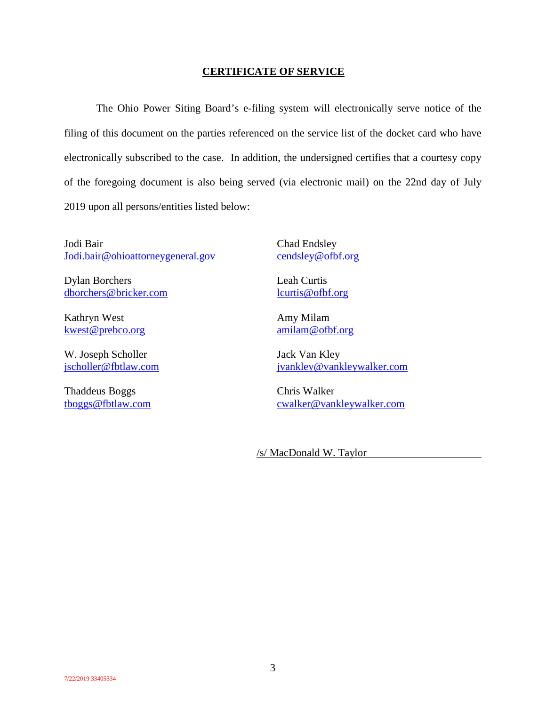## **CERTIFICATE OF SERVICE**

The Ohio Power Siting Board's e-filing system will electronically serve notice of the filing of this document on the parties referenced on the service list of the docket card who have electronically subscribed to the case. In addition, the undersigned certifies that a courtesy copy of the foregoing document is also being served (via electronic mail) on the 22nd day of July 2019 upon all persons/entities listed below:

Jodi Bair Jodi.bair@ohioattorneygeneral.gov

Dylan Borchers dborchers@bricker.com

Kathryn West kwest@prebco.org

W. Joseph Scholler jscholler@fbtlaw.com

Thaddeus Boggs tboggs@fbtlaw.com Chad Endsley cendsley@ofbf.org

Leah Curtis lcurtis@ofbf.org

Amy Milam amilam@ofbf.org

Jack Van Kley jvankley@vankleywalker.com

Chris Walker cwalker@vankleywalker.com

/s/ MacDonald W. Taylor